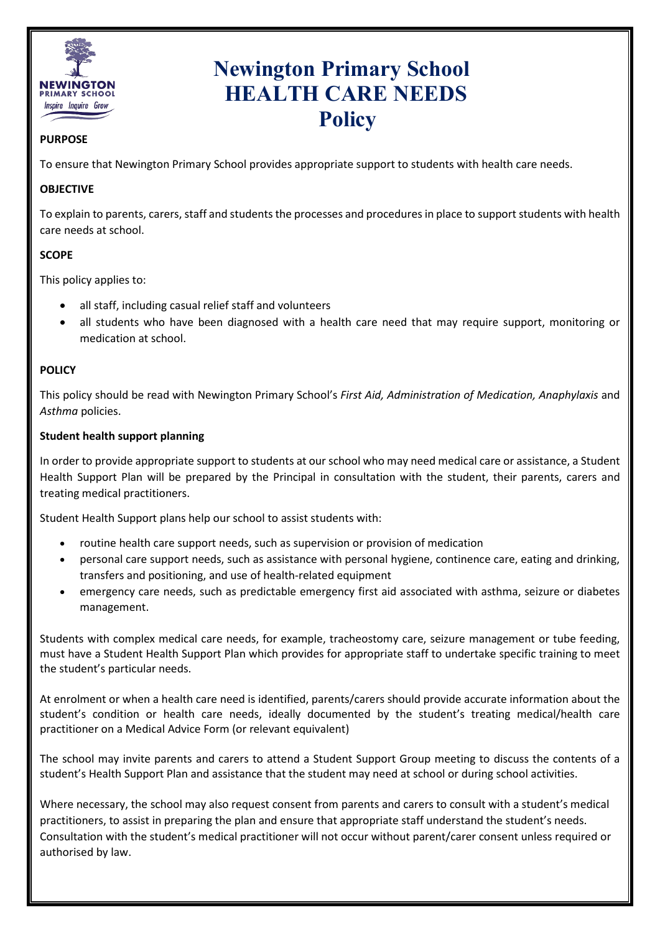

# **Newington Primary School HEALTH CARE NEEDS Policy**

## **PURPOSE**

To ensure that Newington Primary School provides appropriate support to students with health care needs.

## **OBJECTIVE**

To explain to parents, carers, staff and students the processes and procedures in place to support students with health care needs at school.

## **SCOPE**

This policy applies to:

- all staff, including casual relief staff and volunteers
- all students who have been diagnosed with a health care need that may require support, monitoring or medication at school.

## **POLICY**

This policy should be read with Newington Primary School's *First Aid, Administration of Medication, Anaphylaxis* and *Asthma* policies.

#### **Student health support planning**

In order to provide appropriate support to students at our school who may need medical care or assistance, a Student Health Support Plan will be prepared by the Principal in consultation with the student, their parents, carers and treating medical practitioners.

Student Health Support plans help our school to assist students with:

- routine health care support needs, such as supervision or provision of medication
- personal care support needs, such as assistance with personal hygiene, continence care, eating and drinking, transfers and positioning, and use of health-related equipment
- emergency care needs, such as predictable emergency first aid associated with asthma, seizure or diabetes management.

Students with complex medical care needs, for example, tracheostomy care, seizure management or tube feeding, must have a Student Health Support Plan which provides for appropriate staff to undertake specific training to meet the student's particular needs.

At enrolment or when a health care need is identified, parents/carers should provide accurate information about the student's condition or health care needs, ideally documented by the student's treating medical/health care practitioner on a Medical Advice Form (or relevant equivalent)

The school may invite parents and carers to attend a Student Support Group meeting to discuss the contents of a student's Health Support Plan and assistance that the student may need at school or during school activities.

Where necessary, the school may also request consent from parents and carers to consult with a student's medical practitioners, to assist in preparing the plan and ensure that appropriate staff understand the student's needs. Consultation with the student's medical practitioner will not occur without parent/carer consent unless required or authorised by law.